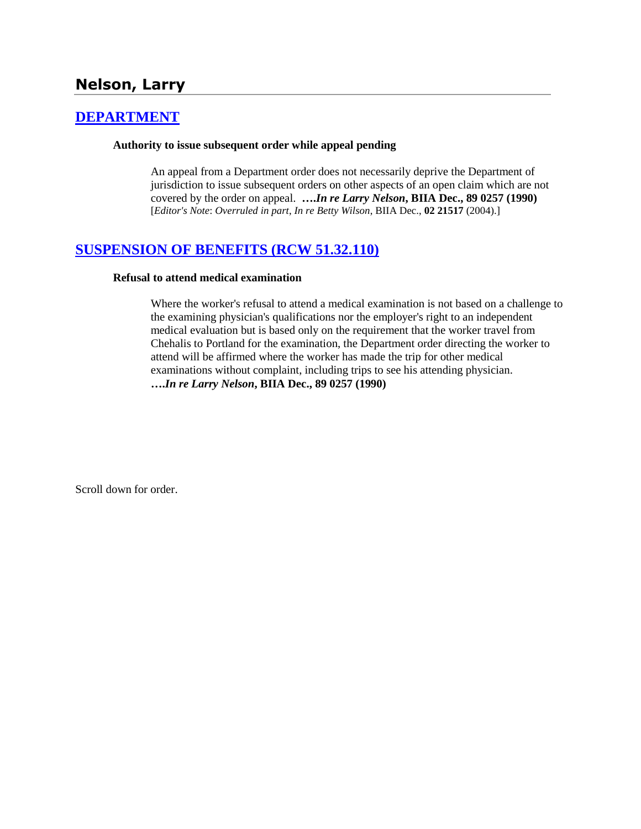# **Nelson, Larry**

## **[DEPARTMENT](http://www.biia.wa.gov/SDSubjectIndex.html#DEPARTMENT)**

### **Authority to issue subsequent order while appeal pending**

An appeal from a Department order does not necessarily deprive the Department of jurisdiction to issue subsequent orders on other aspects of an open claim which are not covered by the order on appeal. **….***In re Larry Nelson***, BIIA Dec., 89 0257 (1990)**  [*Editor's Note*: *Overruled in part*, *In re Betty Wilson*, BIIA Dec., **02 21517** (2004).]

## **[SUSPENSION OF BENEFITS \(RCW 51.32.110\)](http://www.biia.wa.gov/SDSubjectIndex.html#SUSPENSION_OF_BENEFITS)**

### **Refusal to attend medical examination**

Where the worker's refusal to attend a medical examination is not based on a challenge to the examining physician's qualifications nor the employer's right to an independent medical evaluation but is based only on the requirement that the worker travel from Chehalis to Portland for the examination, the Department order directing the worker to attend will be affirmed where the worker has made the trip for other medical examinations without complaint, including trips to see his attending physician. **….***In re Larry Nelson***, BIIA Dec., 89 0257 (1990)** 

Scroll down for order.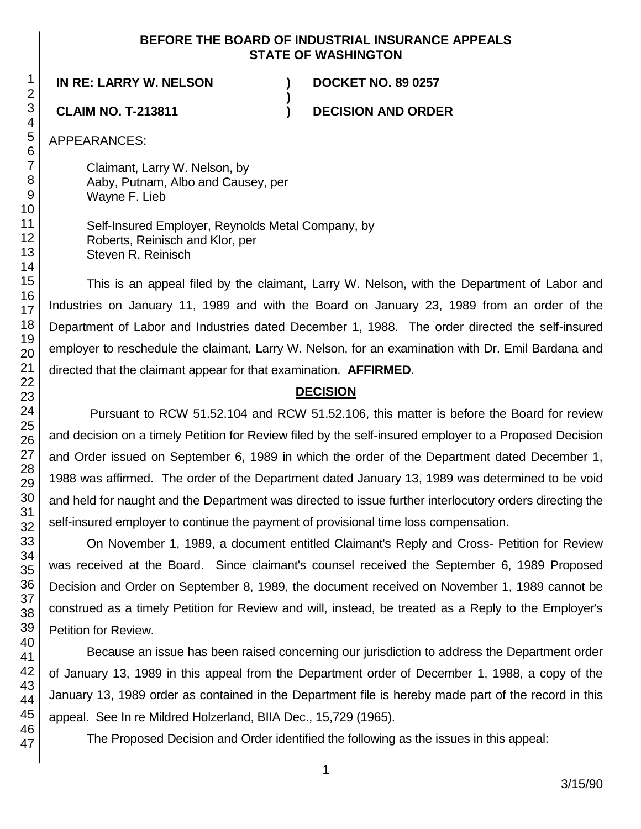### **BEFORE THE BOARD OF INDUSTRIAL INSURANCE APPEALS STATE OF WASHINGTON**

**)**

**IN RE: LARRY W. NELSON ) DOCKET NO. 89 0257**

**CLAIM NO. T-213811 ) DECISION AND ORDER**

APPEARANCES:

Claimant, Larry W. Nelson, by Aaby, Putnam, Albo and Causey, per Wayne F. Lieb

Self-Insured Employer, Reynolds Metal Company, by Roberts, Reinisch and Klor, per Steven R. Reinisch

This is an appeal filed by the claimant, Larry W. Nelson, with the Department of Labor and Industries on January 11, 1989 and with the Board on January 23, 1989 from an order of the Department of Labor and Industries dated December 1, 1988. The order directed the self-insured employer to reschedule the claimant, Larry W. Nelson, for an examination with Dr. Emil Bardana and directed that the claimant appear for that examination. **AFFIRMED**.

# **DECISION**

Pursuant to RCW 51.52.104 and RCW 51.52.106, this matter is before the Board for review and decision on a timely Petition for Review filed by the self-insured employer to a Proposed Decision and Order issued on September 6, 1989 in which the order of the Department dated December 1, 1988 was affirmed. The order of the Department dated January 13, 1989 was determined to be void and held for naught and the Department was directed to issue further interlocutory orders directing the self-insured employer to continue the payment of provisional time loss compensation.

On November 1, 1989, a document entitled Claimant's Reply and Cross- Petition for Review was received at the Board. Since claimant's counsel received the September 6, 1989 Proposed Decision and Order on September 8, 1989, the document received on November 1, 1989 cannot be construed as a timely Petition for Review and will, instead, be treated as a Reply to the Employer's Petition for Review.

Because an issue has been raised concerning our jurisdiction to address the Department order of January 13, 1989 in this appeal from the Department order of December 1, 1988, a copy of the January 13, 1989 order as contained in the Department file is hereby made part of the record in this appeal. See In re Mildred Holzerland, BIIA Dec., 15,729 (1965).

The Proposed Decision and Order identified the following as the issues in this appeal: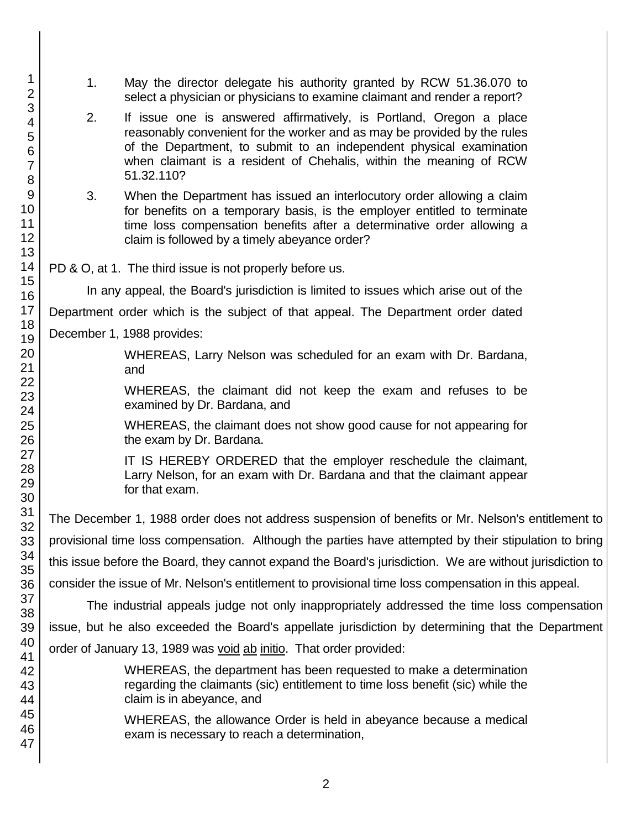- 1. May the director delegate his authority granted by RCW 51.36.070 to select a physician or physicians to examine claimant and render a report?
- 2. If issue one is answered affirmatively, is Portland, Oregon a place reasonably convenient for the worker and as may be provided by the rules of the Department, to submit to an independent physical examination when claimant is a resident of Chehalis, within the meaning of RCW 51.32.110?
- 3. When the Department has issued an interlocutory order allowing a claim for benefits on a temporary basis, is the employer entitled to terminate time loss compensation benefits after a determinative order allowing a claim is followed by a timely abeyance order?
- PD & O, at 1. The third issue is not properly before us.

In any appeal, the Board's jurisdiction is limited to issues which arise out of the Department order which is the subject of that appeal. The Department order dated December 1, 1988 provides:

> WHEREAS, Larry Nelson was scheduled for an exam with Dr. Bardana, and

> WHEREAS, the claimant did not keep the exam and refuses to be examined by Dr. Bardana, and

> WHEREAS, the claimant does not show good cause for not appearing for the exam by Dr. Bardana.

> IT IS HEREBY ORDERED that the employer reschedule the claimant, Larry Nelson, for an exam with Dr. Bardana and that the claimant appear for that exam.

The December 1, 1988 order does not address suspension of benefits or Mr. Nelson's entitlement to provisional time loss compensation. Although the parties have attempted by their stipulation to bring this issue before the Board, they cannot expand the Board's jurisdiction. We are without jurisdiction to consider the issue of Mr. Nelson's entitlement to provisional time loss compensation in this appeal.

The industrial appeals judge not only inappropriately addressed the time loss compensation issue, but he also exceeded the Board's appellate jurisdiction by determining that the Department order of January 13, 1989 was void ab initio. That order provided:

> WHEREAS, the department has been requested to make a determination regarding the claimants (sic) entitlement to time loss benefit (sic) while the claim is in abeyance, and

WHEREAS, the allowance Order is held in abeyance because a medical exam is necessary to reach a determination,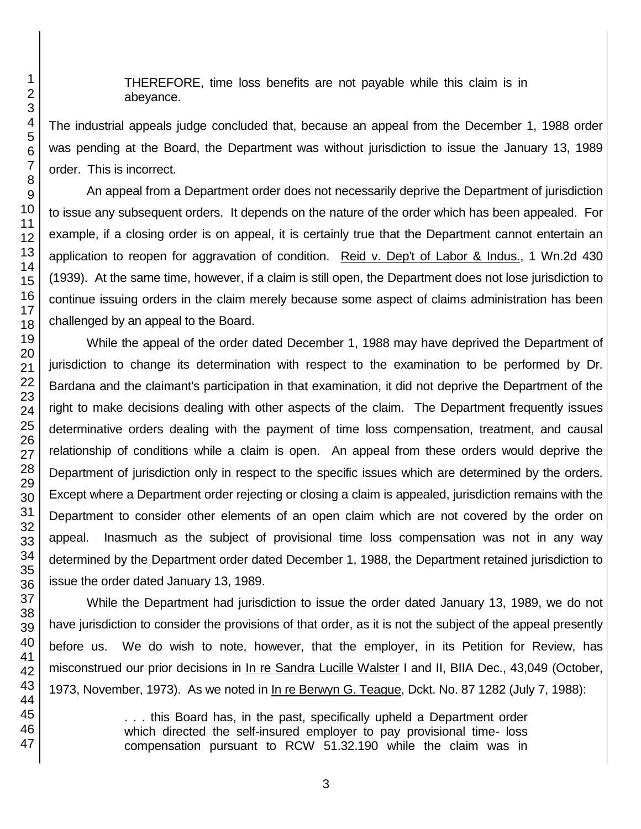THEREFORE, time loss benefits are not payable while this claim is in abeyance.

The industrial appeals judge concluded that, because an appeal from the December 1, 1988 order was pending at the Board, the Department was without jurisdiction to issue the January 13, 1989 order. This is incorrect.

An appeal from a Department order does not necessarily deprive the Department of jurisdiction to issue any subsequent orders. It depends on the nature of the order which has been appealed. For example, if a closing order is on appeal, it is certainly true that the Department cannot entertain an application to reopen for aggravation of condition. Reid v. Dep't of Labor & Indus., 1 Wn.2d 430 (1939). At the same time, however, if a claim is still open, the Department does not lose jurisdiction to continue issuing orders in the claim merely because some aspect of claims administration has been challenged by an appeal to the Board.

While the appeal of the order dated December 1, 1988 may have deprived the Department of jurisdiction to change its determination with respect to the examination to be performed by Dr. Bardana and the claimant's participation in that examination, it did not deprive the Department of the right to make decisions dealing with other aspects of the claim. The Department frequently issues determinative orders dealing with the payment of time loss compensation, treatment, and causal relationship of conditions while a claim is open. An appeal from these orders would deprive the Department of jurisdiction only in respect to the specific issues which are determined by the orders. Except where a Department order rejecting or closing a claim is appealed, jurisdiction remains with the Department to consider other elements of an open claim which are not covered by the order on appeal. Inasmuch as the subject of provisional time loss compensation was not in any way determined by the Department order dated December 1, 1988, the Department retained jurisdiction to issue the order dated January 13, 1989.

While the Department had jurisdiction to issue the order dated January 13, 1989, we do not have jurisdiction to consider the provisions of that order, as it is not the subject of the appeal presently before us. We do wish to note, however, that the employer, in its Petition for Review, has misconstrued our prior decisions in In re Sandra Lucille Walster I and II, BIIA Dec., 43,049 (October, 1973, November, 1973). As we noted in In re Berwyn G. Teague, Dckt. No. 87 1282 (July 7, 1988):

> . . . this Board has, in the past, specifically upheld a Department order which directed the self-insured employer to pay provisional time- loss compensation pursuant to RCW 51.32.190 while the claim was in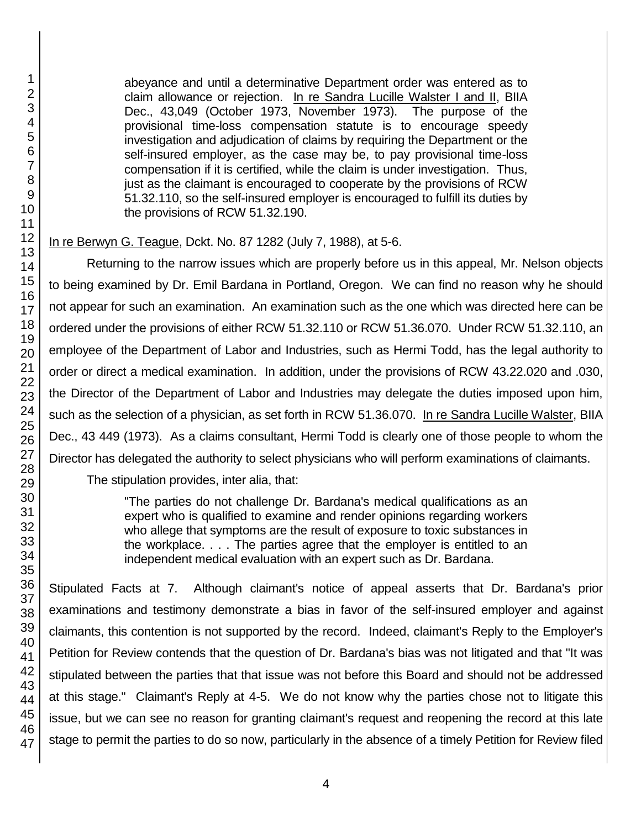abeyance and until a determinative Department order was entered as to claim allowance or rejection. In re Sandra Lucille Walster I and II, BIIA Dec., 43,049 (October 1973, November 1973). The purpose of the provisional time-loss compensation statute is to encourage speedy investigation and adjudication of claims by requiring the Department or the self-insured employer, as the case may be, to pay provisional time-loss compensation if it is certified, while the claim is under investigation. Thus, just as the claimant is encouraged to cooperate by the provisions of RCW 51.32.110, so the self-insured employer is encouraged to fulfill its duties by the provisions of RCW 51.32.190.

### In re Berwyn G. Teague, Dckt. No. 87 1282 (July 7, 1988), at 5-6.

Returning to the narrow issues which are properly before us in this appeal, Mr. Nelson objects to being examined by Dr. Emil Bardana in Portland, Oregon. We can find no reason why he should not appear for such an examination. An examination such as the one which was directed here can be ordered under the provisions of either RCW 51.32.110 or RCW 51.36.070. Under RCW 51.32.110, an employee of the Department of Labor and Industries, such as Hermi Todd, has the legal authority to order or direct a medical examination. In addition, under the provisions of RCW 43.22.020 and .030, the Director of the Department of Labor and Industries may delegate the duties imposed upon him, such as the selection of a physician, as set forth in RCW 51.36.070. In re Sandra Lucille Walster, BIIA Dec., 43 449 (1973). As a claims consultant, Hermi Todd is clearly one of those people to whom the Director has delegated the authority to select physicians who will perform examinations of claimants.

The stipulation provides, inter alia, that:

"The parties do not challenge Dr. Bardana's medical qualifications as an expert who is qualified to examine and render opinions regarding workers who allege that symptoms are the result of exposure to toxic substances in the workplace. . . . The parties agree that the employer is entitled to an independent medical evaluation with an expert such as Dr. Bardana.

Stipulated Facts at 7. Although claimant's notice of appeal asserts that Dr. Bardana's prior examinations and testimony demonstrate a bias in favor of the self-insured employer and against claimants, this contention is not supported by the record. Indeed, claimant's Reply to the Employer's Petition for Review contends that the question of Dr. Bardana's bias was not litigated and that "It was stipulated between the parties that that issue was not before this Board and should not be addressed at this stage." Claimant's Reply at 4-5. We do not know why the parties chose not to litigate this issue, but we can see no reason for granting claimant's request and reopening the record at this late stage to permit the parties to do so now, particularly in the absence of a timely Petition for Review filed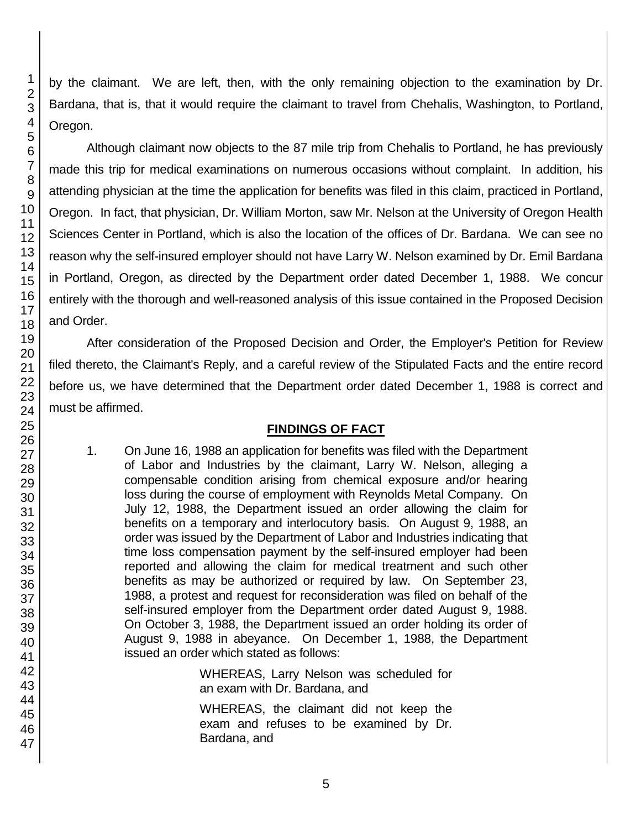by the claimant. We are left, then, with the only remaining objection to the examination by Dr. Bardana, that is, that it would require the claimant to travel from Chehalis, Washington, to Portland, Oregon.

Although claimant now objects to the 87 mile trip from Chehalis to Portland, he has previously made this trip for medical examinations on numerous occasions without complaint. In addition, his attending physician at the time the application for benefits was filed in this claim, practiced in Portland, Oregon. In fact, that physician, Dr. William Morton, saw Mr. Nelson at the University of Oregon Health Sciences Center in Portland, which is also the location of the offices of Dr. Bardana. We can see no reason why the self-insured employer should not have Larry W. Nelson examined by Dr. Emil Bardana in Portland, Oregon, as directed by the Department order dated December 1, 1988. We concur entirely with the thorough and well-reasoned analysis of this issue contained in the Proposed Decision and Order.

After consideration of the Proposed Decision and Order, the Employer's Petition for Review filed thereto, the Claimant's Reply, and a careful review of the Stipulated Facts and the entire record before us, we have determined that the Department order dated December 1, 1988 is correct and must be affirmed.

### **FINDINGS OF FACT**

1. On June 16, 1988 an application for benefits was filed with the Department of Labor and Industries by the claimant, Larry W. Nelson, alleging a compensable condition arising from chemical exposure and/or hearing loss during the course of employment with Reynolds Metal Company. On July 12, 1988, the Department issued an order allowing the claim for benefits on a temporary and interlocutory basis. On August 9, 1988, an order was issued by the Department of Labor and Industries indicating that time loss compensation payment by the self-insured employer had been reported and allowing the claim for medical treatment and such other benefits as may be authorized or required by law. On September 23, 1988, a protest and request for reconsideration was filed on behalf of the self-insured employer from the Department order dated August 9, 1988. On October 3, 1988, the Department issued an order holding its order of August 9, 1988 in abeyance. On December 1, 1988, the Department issued an order which stated as follows:

> WHEREAS, Larry Nelson was scheduled for an exam with Dr. Bardana, and

> WHEREAS, the claimant did not keep the exam and refuses to be examined by Dr. Bardana, and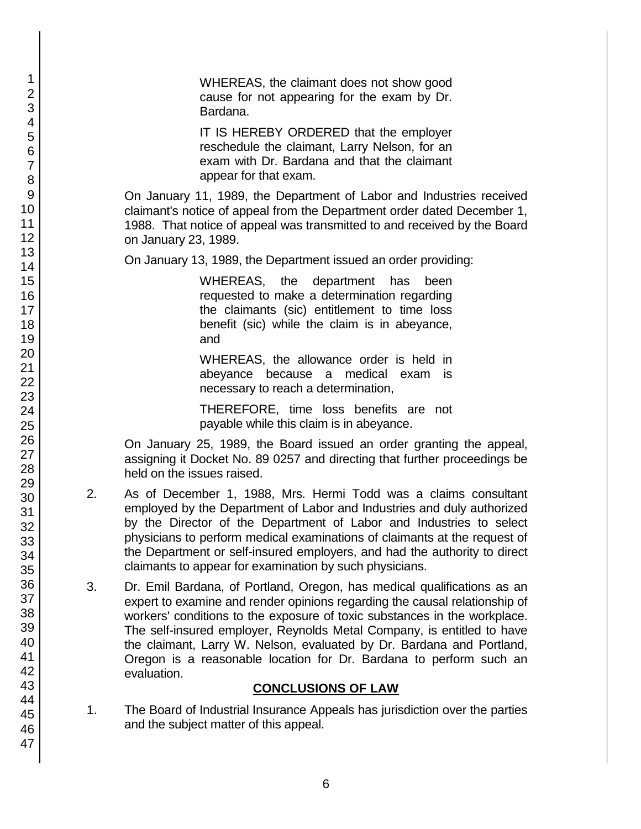WHEREAS, the claimant does not show good cause for not appearing for the exam by Dr. Bardana.

IT IS HEREBY ORDERED that the employer reschedule the claimant, Larry Nelson, for an exam with Dr. Bardana and that the claimant appear for that exam.

On January 11, 1989, the Department of Labor and Industries received claimant's notice of appeal from the Department order dated December 1, 1988. That notice of appeal was transmitted to and received by the Board on January 23, 1989.

On January 13, 1989, the Department issued an order providing:

WHEREAS, the department has been requested to make a determination regarding the claimants (sic) entitlement to time loss benefit (sic) while the claim is in abeyance, and

WHEREAS, the allowance order is held in abeyance because a medical exam is necessary to reach a determination,

THEREFORE, time loss benefits are not payable while this claim is in abeyance.

On January 25, 1989, the Board issued an order granting the appeal, assigning it Docket No. 89 0257 and directing that further proceedings be held on the issues raised.

- 2. As of December 1, 1988, Mrs. Hermi Todd was a claims consultant employed by the Department of Labor and Industries and duly authorized by the Director of the Department of Labor and Industries to select physicians to perform medical examinations of claimants at the request of the Department or self-insured employers, and had the authority to direct claimants to appear for examination by such physicians.
- 3. Dr. Emil Bardana, of Portland, Oregon, has medical qualifications as an expert to examine and render opinions regarding the causal relationship of workers' conditions to the exposure of toxic substances in the workplace. The self-insured employer, Reynolds Metal Company, is entitled to have the claimant, Larry W. Nelson, evaluated by Dr. Bardana and Portland, Oregon is a reasonable location for Dr. Bardana to perform such an evaluation.

### **CONCLUSIONS OF LAW**

1. The Board of Industrial Insurance Appeals has jurisdiction over the parties and the subject matter of this appeal.